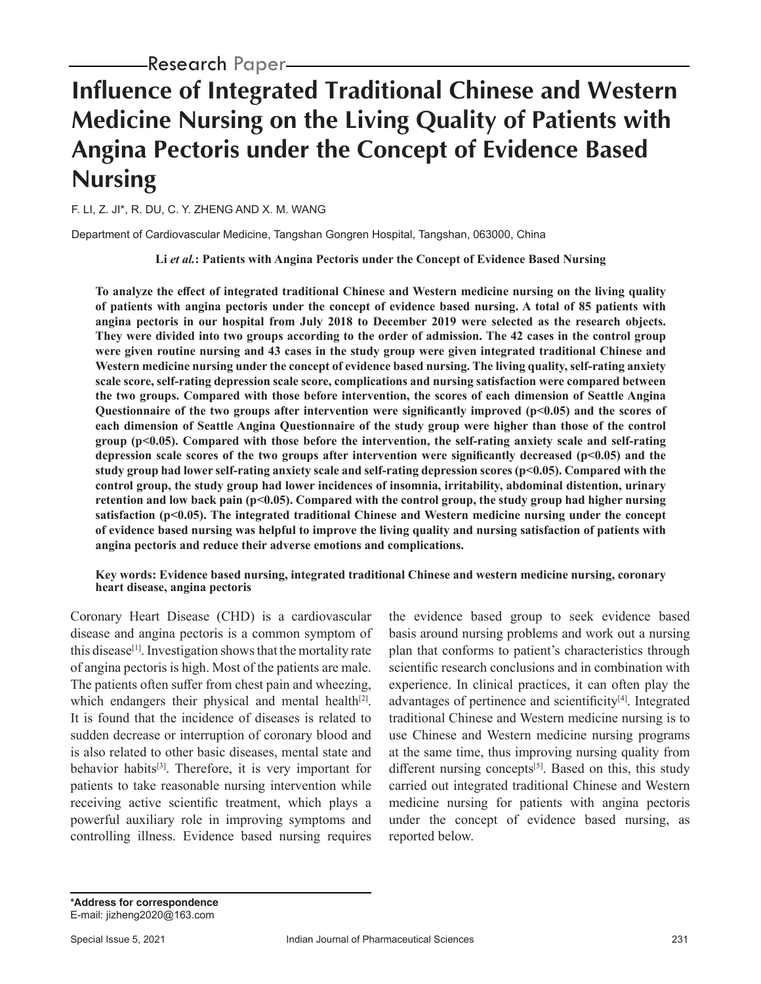# **Influence of Integrated Traditional Chinese and Western Medicine Nursing on the Living Quality of Patients with Angina Pectoris under the Concept of Evidence Based Nursing**

F. LI, Z. JI\*, R. DU, C. Y. ZHENG AND X. M. WANG

Department of Cardiovascular Medicine, Tangshan Gongren Hospital, Tangshan, 063000, China

**Li** *et al.***: Patients with Angina Pectoris under the Concept of Evidence Based Nursing**

**To analyze the effect of integrated traditional Chinese and Western medicine nursing on the living quality of patients with angina pectoris under the concept of evidence based nursing. A total of 85 patients with angina pectoris in our hospital from July 2018 to December 2019 were selected as the research objects. They were divided into two groups according to the order of admission. The 42 cases in the control group were given routine nursing and 43 cases in the study group were given integrated traditional Chinese and Western medicine nursing under the concept of evidence based nursing. The living quality, self-rating anxiety scale score, self-rating depression scale score, complications and nursing satisfaction were compared between the two groups. Compared with those before intervention, the scores of each dimension of Seattle Angina Questionnaire of the two groups after intervention were significantly improved (p<0.05) and the scores of each dimension of Seattle Angina Questionnaire of the study group were higher than those of the control group (p<0.05). Compared with those before the intervention, the self-rating anxiety scale and self-rating depression scale scores of the two groups after intervention were significantly decreased (p<0.05) and the study group had lower self-rating anxiety scale and self-rating depression scores (p<0.05). Compared with the control group, the study group had lower incidences of insomnia, irritability, abdominal distention, urinary retention and low back pain (p<0.05). Compared with the control group, the study group had higher nursing satisfaction (p<0.05). The integrated traditional Chinese and Western medicine nursing under the concept of evidence based nursing was helpful to improve the living quality and nursing satisfaction of patients with angina pectoris and reduce their adverse emotions and complications.**

#### **Key words: Evidence based nursing, integrated traditional Chinese and western medicine nursing, coronary heart disease, angina pectoris**

Coronary Heart Disease (CHD) is a cardiovascular disease and angina pectoris is a common symptom of this disease<sup>[1]</sup>. Investigation shows that the mortality rate of angina pectoris is high. Most of the patients are male. The patients often suffer from chest pain and wheezing, which endangers their physical and mental health<sup>[2]</sup>. It is found that the incidence of diseases is related to sudden decrease or interruption of coronary blood and is also related to other basic diseases, mental state and behavior habits<sup>[3]</sup>. Therefore, it is very important for patients to take reasonable nursing intervention while receiving active scientific treatment, which plays a powerful auxiliary role in improving symptoms and controlling illness. Evidence based nursing requires the evidence based group to seek evidence based basis around nursing problems and work out a nursing plan that conforms to patient's characteristics through scientific research conclusions and in combination with experience. In clinical practices, it can often play the advantages of pertinence and scientificity<sup>[4]</sup>. Integrated traditional Chinese and Western medicine nursing is to use Chinese and Western medicine nursing programs at the same time, thus improving nursing quality from different nursing concepts<sup>[5]</sup>. Based on this, this study carried out integrated traditional Chinese and Western medicine nursing for patients with angina pectoris under the concept of evidence based nursing, as reported below.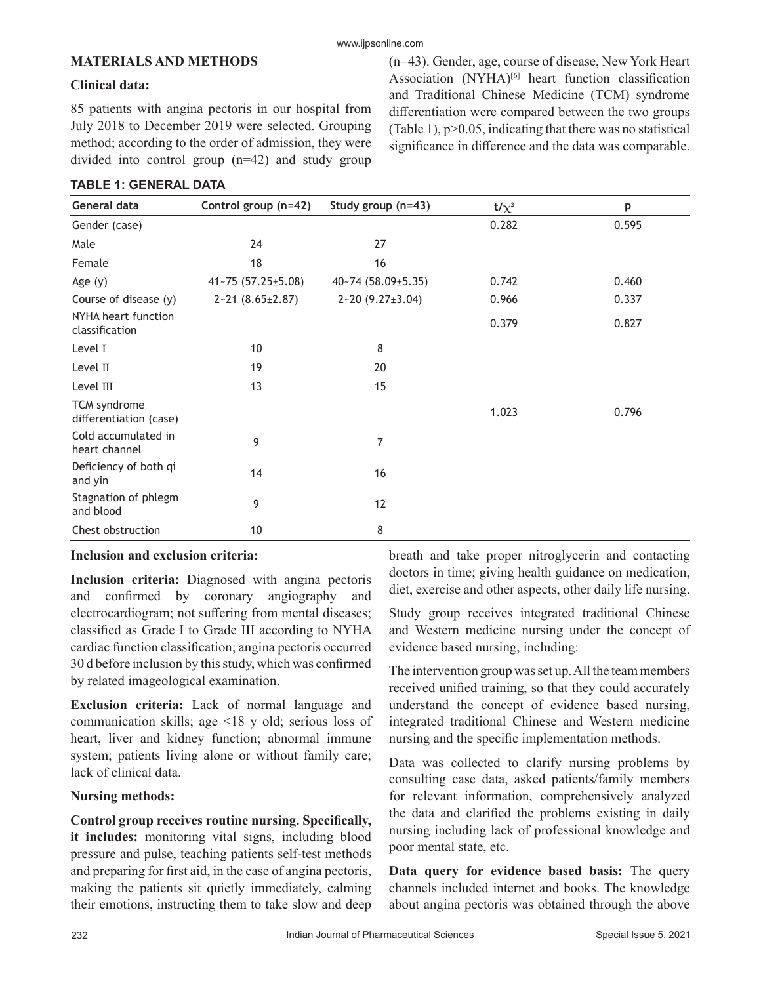# **MATERIALS AND METHODS**

# **Clinical data:**

85 patients with angina pectoris in our hospital from July 2018 to December 2019 were selected. Grouping method; according to the order of admission, they were divided into control group (n=42) and study group

# **TABLE 1: GENERAL DATA**

(n=43). Gender, age, course of disease, New York Heart Association (NYHA)<sup>[6]</sup> heart function classification and Traditional Chinese Medicine (TCM) syndrome differentiation were compared between the two groups (Table 1),  $p > 0.05$ , indicating that there was no statistical significance in difference and the data was comparable.

| General data                           | Control group (n=42)      | Study group (n=43)      | t/ $\chi^2$ | p     |
|----------------------------------------|---------------------------|-------------------------|-------------|-------|
| Gender (case)                          |                           |                         | 0.282       | 0.595 |
| Male                                   | 24                        | 27                      |             |       |
| Female                                 | 18                        | 16                      |             |       |
| Age (y)                                | $41 - 75(57.25 \pm 5.08)$ | 40~74 (58.09±5.35)      | 0.742       | 0.460 |
| Course of disease (y)                  | $2 - 21 (8.65 \pm 2.87)$  | $2 - 20(9.27 \pm 3.04)$ | 0.966       | 0.337 |
| NYHA heart function<br>classification  |                           |                         | 0.379       | 0.827 |
| Level I                                | 10                        | 8                       |             |       |
| Level II                               | 19                        | 20                      |             |       |
| Level III                              | 13                        | 15                      |             |       |
| TCM syndrome<br>differentiation (case) |                           |                         | 1.023       | 0.796 |
| Cold accumulated in<br>heart channel   | 9                         | 7                       |             |       |
| Deficiency of both qi<br>and yin       | 14                        | 16                      |             |       |
| Stagnation of phlegm<br>and blood      | 9                         | 12                      |             |       |
| Chest obstruction                      | 10                        | 8                       |             |       |

# **Inclusion and exclusion criteria:**

**Inclusion criteria:** Diagnosed with angina pectoris and confirmed by coronary angiography and electrocardiogram; not suffering from mental diseases; classified as Grade I to Grade III according to NYHA cardiac function classification; angina pectoris occurred 30 d before inclusion by this study, which was confirmed by related imageological examination.

**Exclusion criteria:** Lack of normal language and communication skills; age <18 y old; serious loss of heart, liver and kidney function; abnormal immune system; patients living alone or without family care; lack of clinical data.

# **Nursing methods:**

**Control group receives routine nursing. Specifically, it includes:** monitoring vital signs, including blood pressure and pulse, teaching patients self-test methods and preparing for first aid, in the case of angina pectoris, making the patients sit quietly immediately, calming their emotions, instructing them to take slow and deep breath and take proper nitroglycerin and contacting doctors in time; giving health guidance on medication, diet, exercise and other aspects, other daily life nursing.

Study group receives integrated traditional Chinese and Western medicine nursing under the concept of evidence based nursing, including:

The intervention group was set up. All the team members received unified training, so that they could accurately understand the concept of evidence based nursing, integrated traditional Chinese and Western medicine nursing and the specific implementation methods.

Data was collected to clarify nursing problems by consulting case data, asked patients/family members for relevant information, comprehensively analyzed the data and clarified the problems existing in daily nursing including lack of professional knowledge and poor mental state, etc.

**Data query for evidence based basis:** The query channels included internet and books. The knowledge about angina pectoris was obtained through the above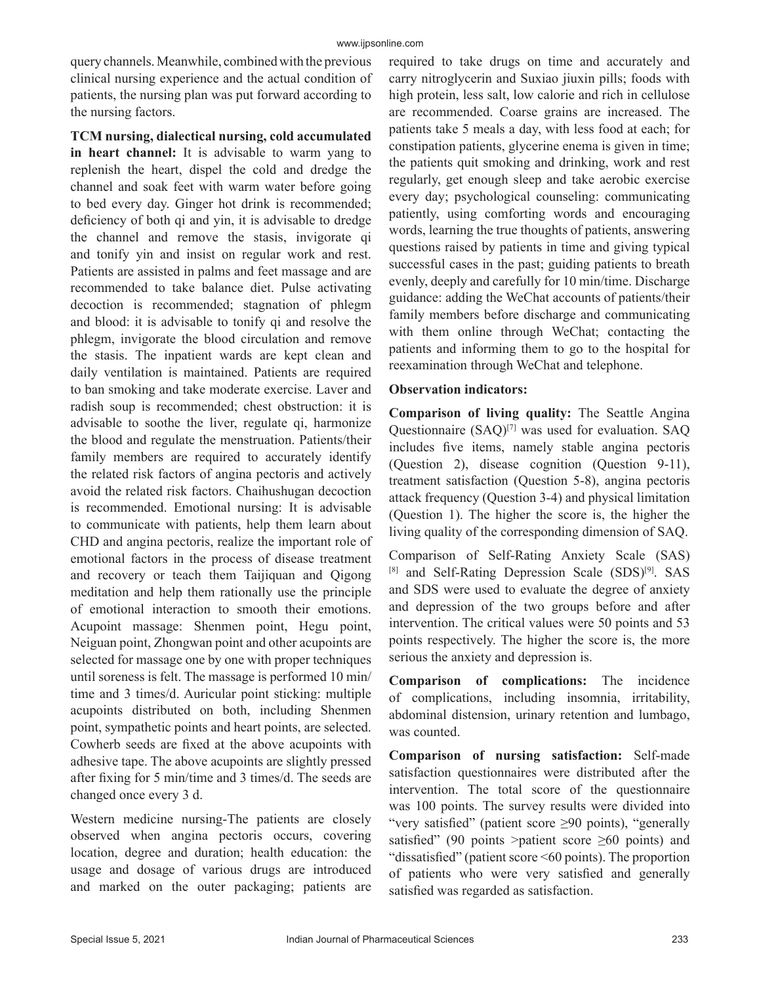query channels. Meanwhile, combined with the previous clinical nursing experience and the actual condition of patients, the nursing plan was put forward according to the nursing factors.

**TCM nursing, dialectical nursing, cold accumulated in heart channel:** It is advisable to warm yang to replenish the heart, dispel the cold and dredge the channel and soak feet with warm water before going to bed every day. Ginger hot drink is recommended; deficiency of both qi and yin, it is advisable to dredge the channel and remove the stasis, invigorate qi and tonify yin and insist on regular work and rest. Patients are assisted in palms and feet massage and are recommended to take balance diet. Pulse activating decoction is recommended; stagnation of phlegm and blood: it is advisable to tonify qi and resolve the phlegm, invigorate the blood circulation and remove the stasis. The inpatient wards are kept clean and daily ventilation is maintained. Patients are required to ban smoking and take moderate exercise. Laver and radish soup is recommended; chest obstruction: it is advisable to soothe the liver, regulate qi, harmonize the blood and regulate the menstruation. Patients/their family members are required to accurately identify the related risk factors of angina pectoris and actively avoid the related risk factors. Chaihushugan decoction is recommended. Emotional nursing: It is advisable to communicate with patients, help them learn about CHD and angina pectoris, realize the important role of emotional factors in the process of disease treatment and recovery or teach them Taijiquan and Qigong meditation and help them rationally use the principle of emotional interaction to smooth their emotions. Acupoint massage: Shenmen point, Hegu point, Neiguan point, Zhongwan point and other acupoints are selected for massage one by one with proper techniques until soreness is felt. The massage is performed 10 min/ time and 3 times/d. Auricular point sticking: multiple acupoints distributed on both, including Shenmen point, sympathetic points and heart points, are selected. Cowherb seeds are fixed at the above acupoints with adhesive tape. The above acupoints are slightly pressed after fixing for 5 min/time and 3 times/d. The seeds are changed once every 3 d.

Western medicine nursing-The patients are closely observed when angina pectoris occurs, covering location, degree and duration; health education: the usage and dosage of various drugs are introduced and marked on the outer packaging; patients are required to take drugs on time and accurately and carry nitroglycerin and Suxiao jiuxin pills; foods with high protein, less salt, low calorie and rich in cellulose are recommended. Coarse grains are increased. The patients take 5 meals a day, with less food at each; for constipation patients, glycerine enema is given in time; the patients quit smoking and drinking, work and rest regularly, get enough sleep and take aerobic exercise every day; psychological counseling: communicating patiently, using comforting words and encouraging words, learning the true thoughts of patients, answering questions raised by patients in time and giving typical successful cases in the past; guiding patients to breath evenly, deeply and carefully for 10 min/time. Discharge guidance: adding the WeChat accounts of patients/their family members before discharge and communicating with them online through WeChat; contacting the patients and informing them to go to the hospital for reexamination through WeChat and telephone.

#### **Observation indicators:**

**Comparison of living quality:** The Seattle Angina Questionnaire  $(SAQ)^{[7]}$  was used for evaluation. SAQ includes five items, namely stable angina pectoris (Question 2), disease cognition (Question 9-11), treatment satisfaction (Question 5-8), angina pectoris attack frequency (Question 3-4) and physical limitation (Question 1). The higher the score is, the higher the living quality of the corresponding dimension of SAQ.

Comparison of Self-Rating Anxiety Scale (SAS) [8] and Self-Rating Depression Scale (SDS)<sup>[9]</sup>. SAS and SDS were used to evaluate the degree of anxiety and depression of the two groups before and after intervention. The critical values were 50 points and 53 points respectively. The higher the score is, the more serious the anxiety and depression is.

**Comparison of complications:** The incidence of complications, including insomnia, irritability, abdominal distension, urinary retention and lumbago, was counted.

**Comparison of nursing satisfaction:** Self-made satisfaction questionnaires were distributed after the intervention. The total score of the questionnaire was 100 points. The survey results were divided into "very satisfied" (patient score ≥90 points), "generally satisfied" (90 points >patient score  $\geq 60$  points) and "dissatisfied" (patient score <60 points). The proportion of patients who were very satisfied and generally satisfied was regarded as satisfaction.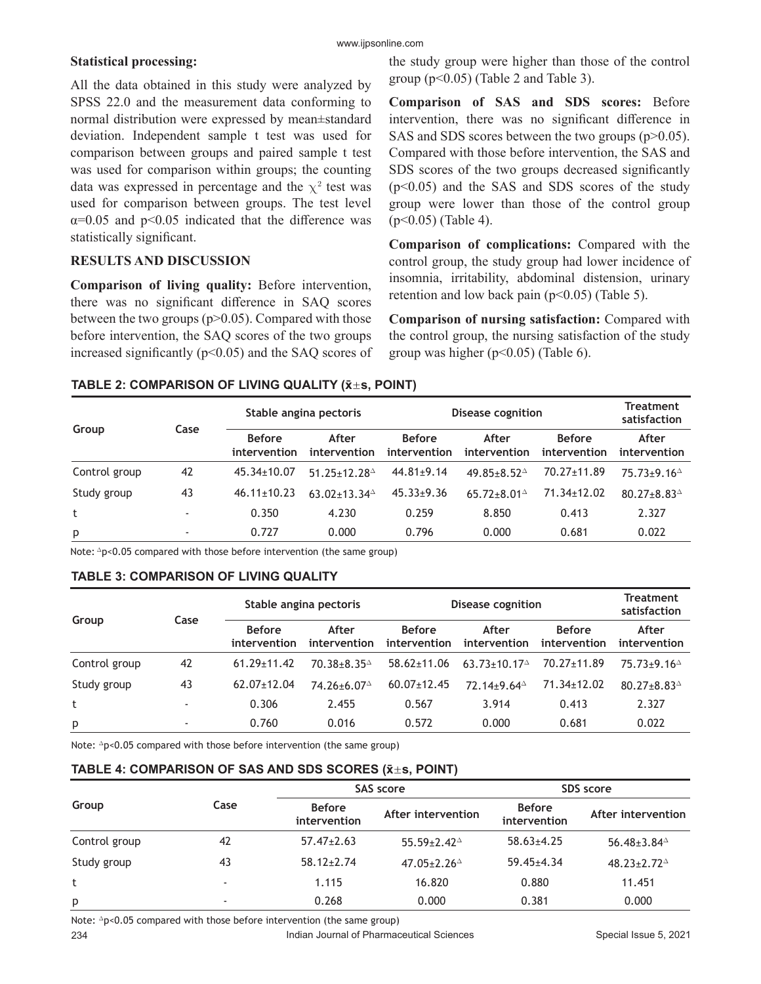# **Statistical processing:**

All the data obtained in this study were analyzed by SPSS 22.0 and the measurement data conforming to normal distribution were expressed by mean±standard deviation. Independent sample t test was used for comparison between groups and paired sample t test was used for comparison within groups; the counting data was expressed in percentage and the  $\chi^2$  test was used for comparison between groups. The test level  $\alpha$ =0.05 and p<0.05 indicated that the difference was statistically significant.

# **RESULTS AND DISCUSSION**

**Comparison of living quality:** Before intervention, there was no significant difference in SAQ scores between the two groups  $(p>0.05)$ . Compared with those before intervention, the SAQ scores of the two groups increased significantly ( $p<0.05$ ) and the SAQ scores of the study group were higher than those of the control group  $(p<0.05)$  (Table 2 and Table 3).

**Comparison of SAS and SDS scores:** Before intervention, there was no significant difference in SAS and SDS scores between the two groups (p>0.05). Compared with those before intervention, the SAS and SDS scores of the two groups decreased significantly  $(p<0.05)$  and the SAS and SDS scores of the study group were lower than those of the control group (p<0.05) (Table 4).

**Comparison of complications:** Compared with the control group, the study group had lower incidence of insomnia, irritability, abdominal distension, urinary retention and low back pain  $(p<0.05)$  (Table 5).

**Comparison of nursing satisfaction:** Compared with the control group, the nursing satisfaction of the study group was higher  $(p<0.05)$  (Table 6).

# **TABLE 2: COMPARISON OF LIVING QUALITY (x̄s, POINT)**

| Group<br>Case |    |                               | Stable angina pectoris  |                               | Disease cognition                                  |                               |                                                    |
|---------------|----|-------------------------------|-------------------------|-------------------------------|----------------------------------------------------|-------------------------------|----------------------------------------------------|
|               |    | <b>Before</b><br>intervention | After<br>intervention   | <b>Before</b><br>intervention | After<br>intervention                              | <b>Before</b><br>intervention | After<br>intervention                              |
| Control group | 42 | $45.34 \pm 10.07$             | $51.25 + 12.28^{\circ}$ | $44.81 \pm 9.14$              | 49.85+8.52 $^{\circ}$                              | 70.27±11.89                   | $75.73 \pm 9.16$ <sup><math>\triangle</math></sup> |
| Study group   | 43 | $46.11 \pm 10.23$             | 63.02±13.34 $\triangle$ | $45.33 \pm 9.36$              | 65.72 $\pm$ 8.01 <sup><math>\triangle</math></sup> | 71.34±12.02                   | $80.27 \pm 8.83$ <sup><math>\triangle</math></sup> |
| t             |    | 0.350                         | 4.230                   | 0.259                         | 8.850                                              | 0.413                         | 2.327                                              |
| p             |    | 0.727                         | 0.000                   | 0.796                         | 0.000                                              | 0.681                         | 0.022                                              |

Note:  $\Delta p$ <0.05 compared with those before intervention (the same group)

# **TABLE 3: COMPARISON OF LIVING QUALITY**

| Group<br>Case |    | Stable angina pectoris        |                         | <b>Disease cognition</b>      |                         |                               | Treatment<br>satisfaction                          |
|---------------|----|-------------------------------|-------------------------|-------------------------------|-------------------------|-------------------------------|----------------------------------------------------|
|               |    | <b>Before</b><br>intervention | After<br>intervention   | <b>Before</b><br>intervention | After<br>intervention   | <b>Before</b><br>intervention | After<br>intervention                              |
| Control group | 42 | $61.29 \pm 11.42$             | $70.38 + 8.35^{\circ}$  | $58.62 \pm 11.06$             | $63.73 + 10.17^{\circ}$ | 70.27±11.89                   | $75.73 \pm 9.16$ <sup><math>\triangle</math></sup> |
| Study group   | 43 | $62.07 \pm 12.04$             | 74.26±6.07 <sup>△</sup> | $60.07 \pm 12.45$             | 72.14±9.64 <sup>△</sup> | 71.34±12.02                   | $80.27 \pm 8.83$ <sup><math>\triangle</math></sup> |
| t             |    | 0.306                         | 2.455                   | 0.567                         | 3.914                   | 0.413                         | 2.327                                              |
| p             |    | 0.760                         | 0.016                   | 0.572                         | 0.000                   | 0.681                         | 0.022                                              |

Note:  $\Delta p < 0.05$  compared with those before intervention (the same group)

# **TABLE 4: COMPARISON OF SAS AND SDS SCORES (x̄s, POINT)**

|               |                          |                               | SAS score                                          | SDS score                     |                                                    |  |
|---------------|--------------------------|-------------------------------|----------------------------------------------------|-------------------------------|----------------------------------------------------|--|
| Group         | Case                     | <b>Before</b><br>intervention | After intervention                                 | <b>Before</b><br>intervention | After intervention                                 |  |
| Control group | 42                       | $57.47 \pm 2.63$              | $55.59 \pm 2.42^{\circ}$                           | $58.63 \pm 4.25$              | 56.48 $\pm$ 3.84 $\triangle$                       |  |
| Study group   | 43                       | $58.12 \pm 2.74$              | 47.05 $\pm$ 2.26 <sup><math>\triangle</math></sup> | $59.45 \pm 4.34$              | $48.23 \pm 2.72$ <sup><math>\triangle</math></sup> |  |
| t             | $\overline{\phantom{a}}$ | 1.115                         | 16.820                                             | 0.880                         | 11.451                                             |  |
| p             | $\overline{\phantom{a}}$ | 0.268                         | 0.000                                              | 0.381                         | 0.000                                              |  |

Note:  $\Delta p$ <0.05 compared with those before intervention (the same group)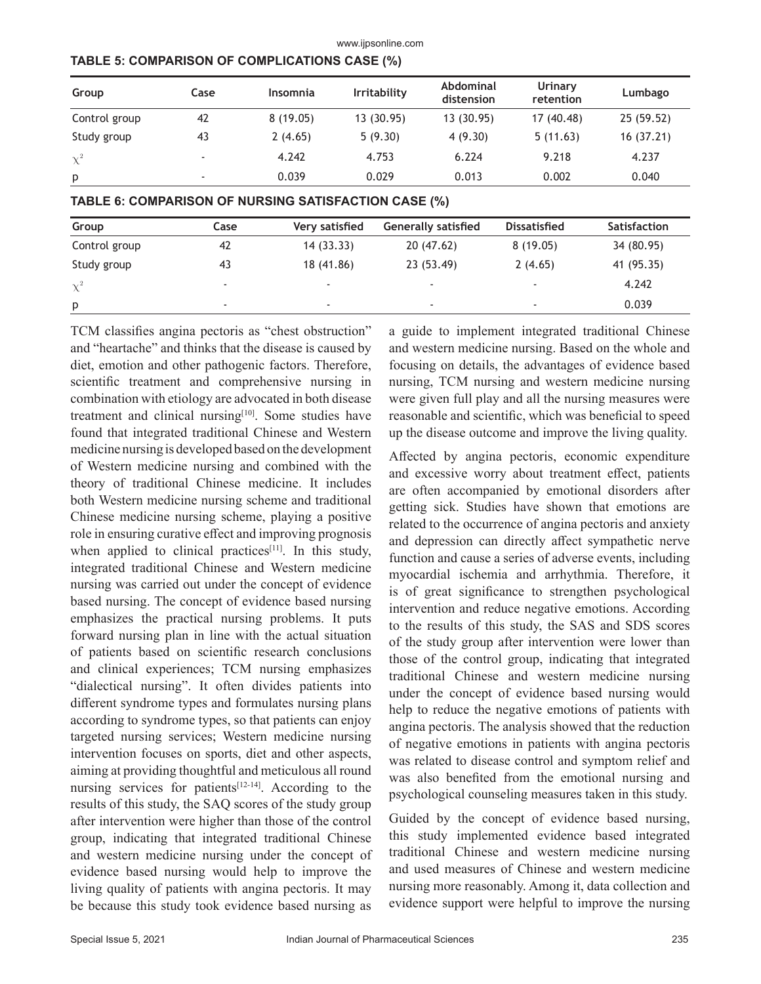www.ijpsonline.com

| Group         | Case | <b>Insomnia</b> | <b>Irritability</b> | Abdominal<br>distension | Urinary<br>retention | Lumbago   |
|---------------|------|-----------------|---------------------|-------------------------|----------------------|-----------|
| Control group | 42   | 8(19.05)        | 13 (30.95)          | 13 (30.95)              | 17 (40.48)           | 25(59.52) |
| Study group   | 43   | 2(4.65)         | 5(9.30)             | 4(9.30)                 | 5(11.63)             | 16(37.21) |
| $\chi^2$      |      | 4.242           | 4.753               | 6.224                   | 9.218                | 4.237     |
| p             | ۰    | 0.039           | 0.029               | 0.013                   | 0.002                | 0.040     |

|  | TABLE 6: COMPARISON OF NURSING SATISFACTION CASE (%) |  |
|--|------------------------------------------------------|--|
|--|------------------------------------------------------|--|

| Group         | Case                     | Very satisfied           | <b>Generally satisfied</b> | Dissatisfied | Satisfaction |
|---------------|--------------------------|--------------------------|----------------------------|--------------|--------------|
| Control group | 42                       | 14(33.33)                | 20(47.62)                  | 8(19.05)     | 34 (80.95)   |
| Study group   | 43                       | 18 (41.86)               | 23 (53.49)                 | 2(4.65)      | 41 (95.35)   |
| $\chi^2$      | $\overline{\phantom{0}}$ |                          | $\overline{\phantom{a}}$   |              | 4.242        |
| p             | $\overline{\phantom{a}}$ | $\overline{\phantom{a}}$ | $\overline{\phantom{a}}$   |              | 0.039        |

TCM classifies angina pectoris as "chest obstruction" and "heartache" and thinks that the disease is caused by diet, emotion and other pathogenic factors. Therefore, scientific treatment and comprehensive nursing in combination with etiology are advocated in both disease treatment and clinical nursing<sup>[10]</sup>. Some studies have found that integrated traditional Chinese and Western medicine nursing is developed based on the development of Western medicine nursing and combined with the theory of traditional Chinese medicine. It includes both Western medicine nursing scheme and traditional Chinese medicine nursing scheme, playing a positive role in ensuring curative effect and improving prognosis when applied to clinical practices<sup>[11]</sup>. In this study, integrated traditional Chinese and Western medicine nursing was carried out under the concept of evidence based nursing. The concept of evidence based nursing emphasizes the practical nursing problems. It puts forward nursing plan in line with the actual situation of patients based on scientific research conclusions and clinical experiences; TCM nursing emphasizes "dialectical nursing". It often divides patients into different syndrome types and formulates nursing plans according to syndrome types, so that patients can enjoy targeted nursing services; Western medicine nursing intervention focuses on sports, diet and other aspects, aiming at providing thoughtful and meticulous all round nursing services for patients<sup>[12-14]</sup>. According to the results of this study, the SAQ scores of the study group after intervention were higher than those of the control group, indicating that integrated traditional Chinese and western medicine nursing under the concept of evidence based nursing would help to improve the living quality of patients with angina pectoris. It may be because this study took evidence based nursing as

a guide to implement integrated traditional Chinese and western medicine nursing. Based on the whole and focusing on details, the advantages of evidence based nursing, TCM nursing and western medicine nursing were given full play and all the nursing measures were reasonable and scientific, which was beneficial to speed up the disease outcome and improve the living quality.

Affected by angina pectoris, economic expenditure and excessive worry about treatment effect, patients are often accompanied by emotional disorders after getting sick. Studies have shown that emotions are related to the occurrence of angina pectoris and anxiety and depression can directly affect sympathetic nerve function and cause a series of adverse events, including myocardial ischemia and arrhythmia. Therefore, it is of great significance to strengthen psychological intervention and reduce negative emotions. According to the results of this study, the SAS and SDS scores of the study group after intervention were lower than those of the control group, indicating that integrated traditional Chinese and western medicine nursing under the concept of evidence based nursing would help to reduce the negative emotions of patients with angina pectoris. The analysis showed that the reduction of negative emotions in patients with angina pectoris was related to disease control and symptom relief and was also benefited from the emotional nursing and psychological counseling measures taken in this study.

Guided by the concept of evidence based nursing, this study implemented evidence based integrated traditional Chinese and western medicine nursing and used measures of Chinese and western medicine nursing more reasonably. Among it, data collection and evidence support were helpful to improve the nursing